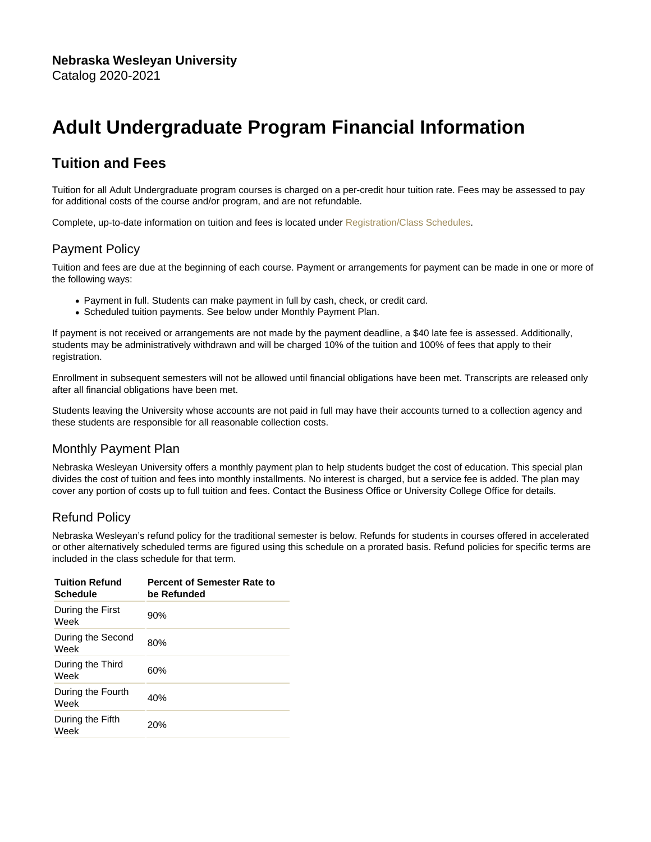# Adult Undergraduate Program Financial Information

# Tuition and Fees

Tuition for all Adult Undergraduate program courses is charged on a per-credit hour tuition rate. Fees may be assessed to pay for additional costs of the course and/or program, and are not refundable.

Complete, up-to-date information on tuition and fees is located under [Registration/Class Schedules.](https://www.nebrwesleyan.edu/about-nwu/registrars-office/class-schedules)

### Payment Policy

Tuition and fees are due at the beginning of each course. Payment or arrangements for payment can be made in one or more of the following ways:

- Payment in full. Students can make payment in full by cash, check, or credit card.
- Scheduled tuition payments. See below under Monthly Payment Plan.

If payment is not received or arrangements are not made by the payment deadline, a \$40 late fee is assessed. Additionally, students may be administratively withdrawn and will be charged 10% of the tuition and 100% of fees that apply to their registration.

Enrollment in subsequent semesters will not be allowed until financial obligations have been met. Transcripts are released only after all financial obligations have been met.

Students leaving the University whose accounts are not paid in full may have their accounts turned to a collection agency and these students are responsible for all reasonable collection costs.

# Monthly Payment Plan

Nebraska Wesleyan University offers a monthly payment plan to help students budget the cost of education. This special plan divides the cost of tuition and fees into monthly installments. No interest is charged, but a service fee is added. The plan may cover any portion of costs up to full tuition and fees. Contact the Business Office or University College Office for details.

# Refund Policy

Nebraska Wesleyan's refund policy for the traditional semester is below. Refunds for students in courses offered in accelerated or other alternatively scheduled terms are figured using this schedule on a prorated basis. Refund policies for specific terms are included in the class schedule for that term.

| <b>Tuition Refund</b><br>Schedule | Percent of Semester Rate to<br>be Refunded |
|-----------------------------------|--------------------------------------------|
| During the First<br>Week          | 90%                                        |
| During the Second<br>Week         | 80%                                        |
| During the Third<br>Week          | 60%                                        |
| During the Fourth<br>Week         | 40%                                        |
| During the Fifth<br>Week          | 20%                                        |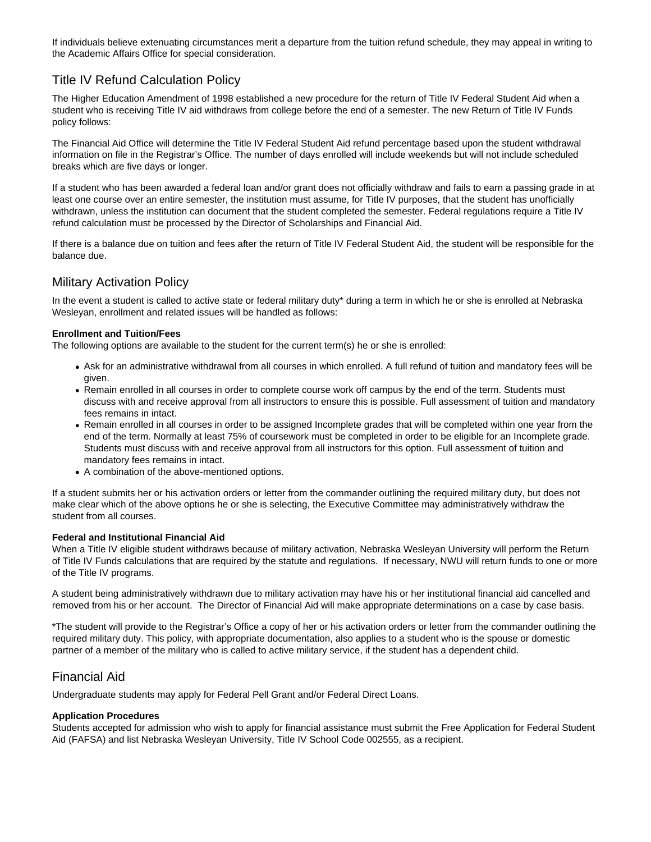If individuals believe extenuating circumstances merit a departure from the tuition refund schedule, they may appeal in writing to the Academic Affairs Office for special consideration.

# Title IV Refund Calculation Policy

The Higher Education Amendment of 1998 established a new procedure for the return of Title IV Federal Student Aid when a student who is receiving Title IV aid withdraws from college before the end of a semester. The new Return of Title IV Funds policy follows:

The Financial Aid Office will determine the Title IV Federal Student Aid refund percentage based upon the student withdrawal information on file in the Registrar's Office. The number of days enrolled will include weekends but will not include scheduled breaks which are five days or longer.

If a student who has been awarded a federal loan and/or grant does not officially withdraw and fails to earn a passing grade in at least one course over an entire semester, the institution must assume, for Title IV purposes, that the student has unofficially withdrawn, unless the institution can document that the student completed the semester. Federal regulations require a Title IV refund calculation must be processed by the Director of Scholarships and Financial Aid.

If there is a balance due on tuition and fees after the return of Title IV Federal Student Aid, the student will be responsible for the balance due.

### Military Activation Policy

In the event a student is called to active state or federal military duty\* during a term in which he or she is enrolled at Nebraska Wesleyan, enrollment and related issues will be handled as follows:

#### **Enrollment and Tuition/Fees**

The following options are available to the student for the current term(s) he or she is enrolled:

- Ask for an administrative withdrawal from all courses in which enrolled. A full refund of tuition and mandatory fees will be given.
- Remain enrolled in all courses in order to complete course work off campus by the end of the term. Students must discuss with and receive approval from all instructors to ensure this is possible. Full assessment of tuition and mandatory fees remains in intact.
- Remain enrolled in all courses in order to be assigned Incomplete grades that will be completed within one year from the end of the term. Normally at least 75% of coursework must be completed in order to be eligible for an Incomplete grade. Students must discuss with and receive approval from all instructors for this option. Full assessment of tuition and mandatory fees remains in intact.
- A combination of the above-mentioned options.

If a student submits her or his activation orders or letter from the commander outlining the required military duty, but does not make clear which of the above options he or she is selecting, the Executive Committee may administratively withdraw the student from all courses.

#### **Federal and Institutional Financial Aid**

When a Title IV eligible student withdraws because of military activation, Nebraska Wesleyan University will perform the Return of Title IV Funds calculations that are required by the statute and regulations. If necessary, NWU will return funds to one or more of the Title IV programs.

A student being administratively withdrawn due to military activation may have his or her institutional financial aid cancelled and removed from his or her account. The Director of Financial Aid will make appropriate determinations on a case by case basis.

\*The student will provide to the Registrar's Office a copy of her or his activation orders or letter from the commander outlining the required military duty. This policy, with appropriate documentation, also applies to a student who is the spouse or domestic partner of a member of the military who is called to active military service, if the student has a dependent child.

### Financial Aid

Undergraduate students may apply for Federal Pell Grant and/or Federal Direct Loans.

#### **Application Procedures**

Students accepted for admission who wish to apply for financial assistance must submit the Free Application for Federal Student Aid (FAFSA) and list Nebraska Wesleyan University, Title IV School Code 002555, as a recipient.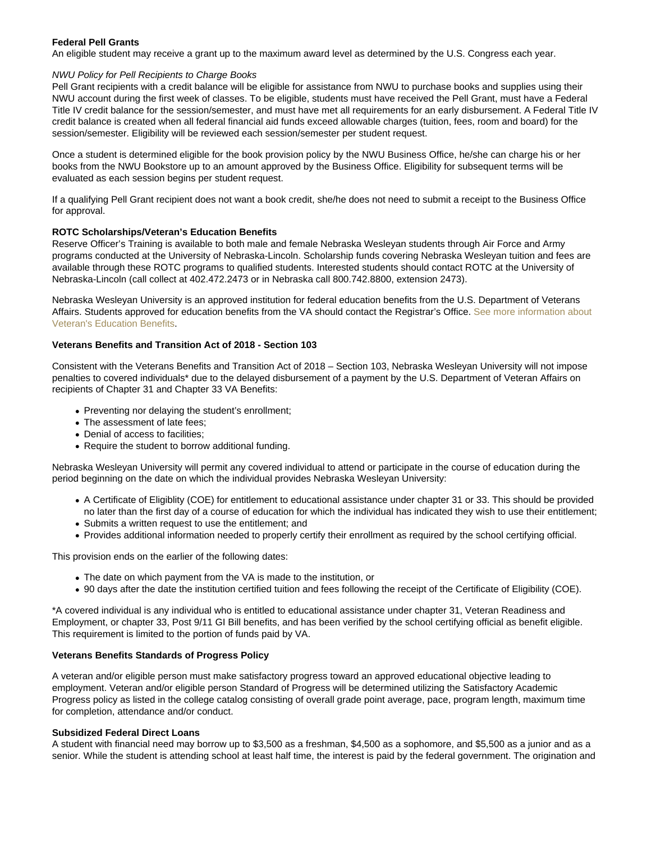#### Federal Pell Grants

An eligible student may receive a grant up to the maximum award level as determined by the U.S. Congress each year.

#### NWU Policy for Pell Recipients to Charge Books

Pell Grant recipients with a credit balance will be eligible for assistance from NWU to purchase books and supplies using their NWU account during the first week of classes. To be eligible, students must have received the Pell Grant, must have a Federal Title IV credit balance for the session/semester, and must have met all requirements for an early disbursement. A Federal Title IV credit balance is created when all federal financial aid funds exceed allowable charges (tuition, fees, room and board) for the session/semester. Eligibility will be reviewed each session/semester per student request.

Once a student is determined eligible for the book provision policy by the NWU Business Office, he/she can charge his or her books from the NWU Bookstore up to an amount approved by the Business Office. Eligibility for subsequent terms will be evaluated as each session begins per student request.

If a qualifying Pell Grant recipient does not want a book credit, she/he does not need to submit a receipt to the Business Office for approval.

#### ROTC Scholarships/Veteran's Education Benefits

Reserve Officer's Training is available to both male and female Nebraska Wesleyan students through Air Force and Army programs conducted at the University of Nebraska-Lincoln. Scholarship funds covering Nebraska Wesleyan tuition and fees are available through these ROTC programs to qualified students. Interested students should contact ROTC at the University of Nebraska-Lincoln (call collect at 402.472.2473 or in Nebraska call 800.742.8800, extension 2473).

Nebraska Wesleyan University is an approved institution for federal education benefits from the U.S. Department of Veterans Affairs. Students approved for education benefits from the VA should contact the Registrar's Office. [See more information about](https://www.nebrwesleyan.edu/node/828) [Veteran's Education Benefits](https://www.nebrwesleyan.edu/node/828).

#### Veterans Benefits and Transition Act of 2018 - Section 103

Consistent with the Veterans Benefits and Transition Act of 2018 – Section 103, Nebraska Wesleyan University will not impose penalties to covered individuals\* due to the delayed disbursement of a payment by the U.S. Department of Veteran Affairs on recipients of Chapter 31 and Chapter 33 VA Benefits:

- Preventing nor delaying the student's enrollment;
- The assessment of late fees;
- Denial of access to facilities;
- Require the student to borrow additional funding.

Nebraska Wesleyan University will permit any covered individual to attend or participate in the course of education during the period beginning on the date on which the individual provides Nebraska Wesleyan University:

- A Certificate of Eligiblity (COE) for entitlement to educational assistance under chapter 31 or 33. This should be provided no later than the first day of a course of education for which the individual has indicated they wish to use their entitlement;
- Submits a written request to use the entitlement; and
- Provides additional information needed to properly certify their enrollment as required by the school certifying official.

This provision ends on the earlier of the following dates:

- The date on which payment from the VA is made to the institution, or
- 90 days after the date the institution certified tuition and fees following the receipt of the Certificate of Eligibility (COE).

\*A covered individual is any individual who is entitled to educational assistance under chapter 31, Veteran Readiness and Employment, or chapter 33, Post 9/11 GI Bill benefits, and has been verified by the school certifying official as benefit eligible. This requirement is limited to the portion of funds paid by VA.

#### Veterans Benefits Standards of Progress Policy

A veteran and/or eligible person must make satisfactory progress toward an approved educational objective leading to employment. Veteran and/or eligible person Standard of Progress will be determined utilizing the Satisfactory Academic Progress policy as listed in the college catalog consisting of overall grade point average, pace, program length, maximum time for completion, attendance and/or conduct.

#### Subsidized Federal Direct Loans

A student with financial need may borrow up to \$3,500 as a freshman, \$4,500 as a sophomore, and \$5,500 as a junior and as a senior. While the student is attending school at least half time, the interest is paid by the federal government. The origination and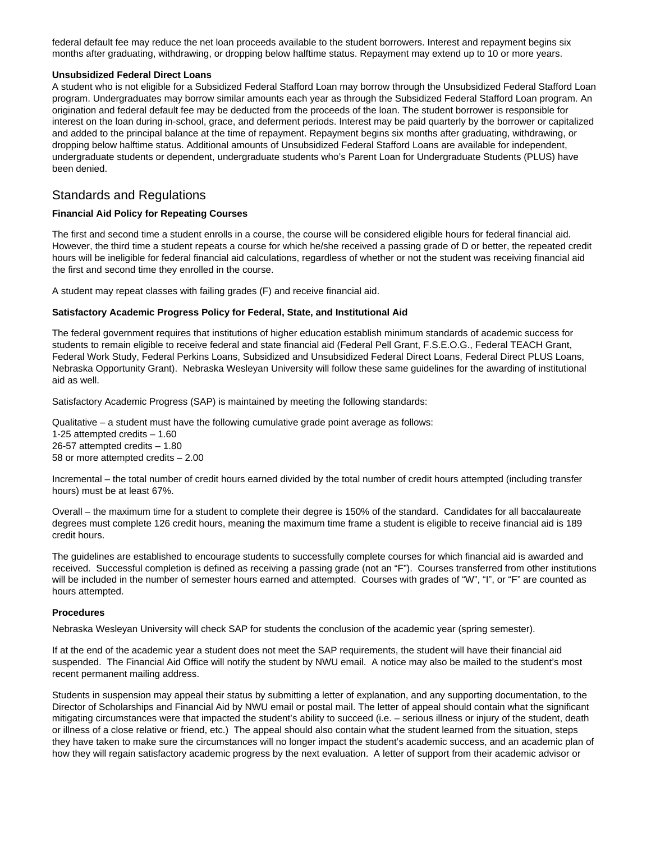federal default fee may reduce the net loan proceeds available to the student borrowers. Interest and repayment begins six months after graduating, withdrawing, or dropping below halftime status. Repayment may extend up to 10 or more years.

#### **Unsubsidized Federal Direct Loans**

A student who is not eligible for a Subsidized Federal Stafford Loan may borrow through the Unsubsidized Federal Stafford Loan program. Undergraduates may borrow similar amounts each year as through the Subsidized Federal Stafford Loan program. An origination and federal default fee may be deducted from the proceeds of the loan. The student borrower is responsible for interest on the loan during in-school, grace, and deferment periods. Interest may be paid quarterly by the borrower or capitalized and added to the principal balance at the time of repayment. Repayment begins six months after graduating, withdrawing, or dropping below halftime status. Additional amounts of Unsubsidized Federal Stafford Loans are available for independent, undergraduate students or dependent, undergraduate students who's Parent Loan for Undergraduate Students (PLUS) have been denied.

### Standards and Regulations

#### **Financial Aid Policy for Repeating Courses**

The first and second time a student enrolls in a course, the course will be considered eligible hours for federal financial aid. However, the third time a student repeats a course for which he/she received a passing grade of D or better, the repeated credit hours will be ineligible for federal financial aid calculations, regardless of whether or not the student was receiving financial aid the first and second time they enrolled in the course.

A student may repeat classes with failing grades (F) and receive financial aid.

#### **Satisfactory Academic Progress Policy for Federal, State, and Institutional Aid**

The federal government requires that institutions of higher education establish minimum standards of academic success for students to remain eligible to receive federal and state financial aid (Federal Pell Grant, F.S.E.O.G., Federal TEACH Grant, Federal Work Study, Federal Perkins Loans, Subsidized and Unsubsidized Federal Direct Loans, Federal Direct PLUS Loans, Nebraska Opportunity Grant). Nebraska Wesleyan University will follow these same guidelines for the awarding of institutional aid as well.

Satisfactory Academic Progress (SAP) is maintained by meeting the following standards:

Qualitative – a student must have the following cumulative grade point average as follows:

1-25 attempted credits – 1.60 26-57 attempted credits – 1.80 58 or more attempted credits – 2.00

Incremental – the total number of credit hours earned divided by the total number of credit hours attempted (including transfer hours) must be at least 67%.

Overall – the maximum time for a student to complete their degree is 150% of the standard. Candidates for all baccalaureate degrees must complete 126 credit hours, meaning the maximum time frame a student is eligible to receive financial aid is 189 credit hours.

The guidelines are established to encourage students to successfully complete courses for which financial aid is awarded and received. Successful completion is defined as receiving a passing grade (not an "F"). Courses transferred from other institutions will be included in the number of semester hours earned and attempted. Courses with grades of "W", "I", or "F" are counted as hours attempted.

#### **Procedures**

Nebraska Wesleyan University will check SAP for students the conclusion of the academic year (spring semester).

If at the end of the academic year a student does not meet the SAP requirements, the student will have their financial aid suspended. The Financial Aid Office will notify the student by NWU email. A notice may also be mailed to the student's most recent permanent mailing address.

Students in suspension may appeal their status by submitting a letter of explanation, and any supporting documentation, to the Director of Scholarships and Financial Aid by NWU email or postal mail. The letter of appeal should contain what the significant mitigating circumstances were that impacted the student's ability to succeed (i.e. – serious illness or injury of the student, death or illness of a close relative or friend, etc.) The appeal should also contain what the student learned from the situation, steps they have taken to make sure the circumstances will no longer impact the student's academic success, and an academic plan of how they will regain satisfactory academic progress by the next evaluation. A letter of support from their academic advisor or